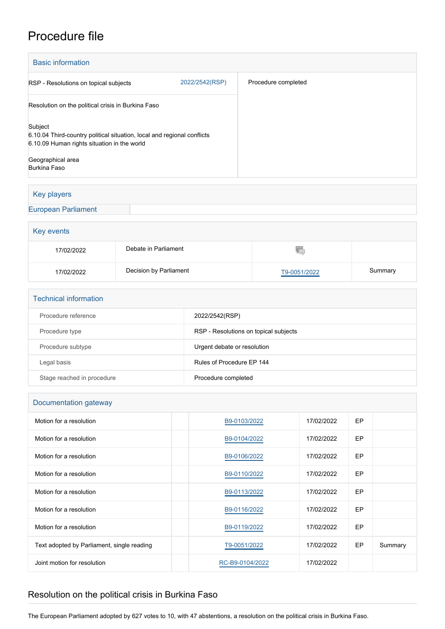## Procedure file

| <b>Basic information</b>                                                                                                          |                |                     |
|-----------------------------------------------------------------------------------------------------------------------------------|----------------|---------------------|
| RSP - Resolutions on topical subjects                                                                                             | 2022/2542(RSP) | Procedure completed |
| Resolution on the political crisis in Burkina Faso                                                                                |                |                     |
| Subject<br>6.10.04 Third-country political situation, local and regional conflicts<br>6.10.09 Human rights situation in the world |                |                     |
| Geographical area<br>Burkina Faso                                                                                                 |                |                     |

## Key players

[European Parliament](http://www.europarl.europa.eu/)

| Key events |                        |              |         |  |  |
|------------|------------------------|--------------|---------|--|--|
| 17/02/2022 | Debate in Parliament   |              |         |  |  |
| 17/02/2022 | Decision by Parliament | T9-0051/2022 | Summary |  |  |

| <b>Technical information</b> |                                       |  |  |  |
|------------------------------|---------------------------------------|--|--|--|
| Procedure reference          | 2022/2542(RSP)                        |  |  |  |
| Procedure type               | RSP - Resolutions on topical subjects |  |  |  |
| Procedure subtype            | Urgent debate or resolution           |  |  |  |
| Legal basis                  | Rules of Procedure EP 144             |  |  |  |
| Stage reached in procedure   | Procedure completed                   |  |  |  |

| Documentation gateway                      |                 |            |           |         |  |
|--------------------------------------------|-----------------|------------|-----------|---------|--|
| Motion for a resolution                    | B9-0103/2022    | 17/02/2022 | <b>EP</b> |         |  |
| Motion for a resolution                    | B9-0104/2022    | 17/02/2022 | <b>EP</b> |         |  |
| Motion for a resolution                    | B9-0106/2022    | 17/02/2022 | <b>EP</b> |         |  |
| Motion for a resolution                    | B9-0110/2022    | 17/02/2022 | <b>EP</b> |         |  |
| Motion for a resolution                    | B9-0113/2022    | 17/02/2022 | <b>EP</b> |         |  |
| Motion for a resolution                    | B9-0116/2022    | 17/02/2022 | <b>EP</b> |         |  |
| Motion for a resolution                    | B9-0119/2022    | 17/02/2022 | <b>EP</b> |         |  |
| Text adopted by Parliament, single reading | T9-0051/2022    | 17/02/2022 | EP        | Summary |  |
| Joint motion for resolution                | RC-B9-0104/2022 | 17/02/2022 |           |         |  |

## Resolution on the political crisis in Burkina Faso

The European Parliament adopted by 627 votes to 10, with 47 abstentions, a resolution on the political crisis in Burkina Faso.